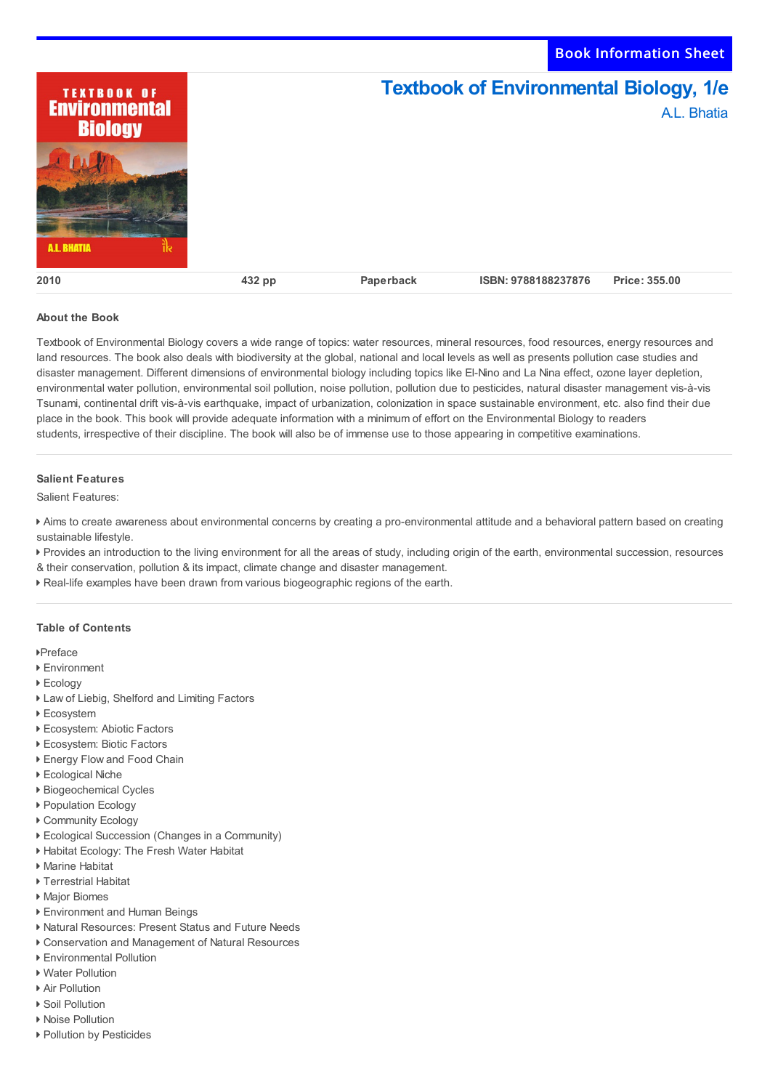**Textbook of Environmental Biology, 1/e TEXTBOOK OF Environmental** A.L. Bhatia **Biology 11 RHATH 2010 432 pp Paperback ISBN: 9788188237876 Price: 355.00**

Book Information Sheet

## **About the Book**

Textbook of Environmental Biology covers a wide range of topics: water resources, mineral resources, food resources, energy resources and land resources. The book also deals with biodiversity at the global, national and local levels as well as presents pollution case studies and disaster management. Different dimensions of environmental biology including topics like El-Nino and La Nina effect, ozone layer depletion, environmental water pollution, environmental soil pollution, noise pollution, pollution due to pesticides, natural disaster management vis-à-vis Tsunami, continental drift vis-à-vis earthquake, impact of urbanization, colonization in space sustainable environment, etc. also find their due place in the book. This book will provide adequate information with a minimum of effort on the Environmental Biology to readers students, irrespective of their discipline. The book will also be of immense use to those appearing in competitive examinations.

## **Salient Features**

Salient Features:

 Aims to create awareness about environmental concerns by creating a pro-environmental attitude and a behavioral pattern based on creating sustainable lifestyle.

Provides an introduction to the living environment for all the areas of study, including origin of the earth, environmental succession, resources

- & their conservation, pollution & its impact, climate change and disaster management.
- Real-life examples have been drawn from various biogeographic regions of the earth.

## **Table of Contents**

Preface

- Environment
- Ecology
- Law of Liebig, Shelford and Limiting Factors
- ▶ Ecosystem
- Ecosystem: Abiotic Factors
- Ecosystem: Biotic Factors
- ▶ Energy Flow and Food Chain
- Ecological Niche
- Biogeochemical Cycles
- ▶ Population Ecology
- ▶ Community Ecology
- Ecological Succession (Changes in a Community)
- Habitat Ecology: The Fresh Water Habitat
- Marine Habitat
- Terrestrial Habitat
- ▶ Major Biomes
- Environment and Human Beings
- Natural Resources: Present Status and Future Needs
- Conservation and Management of Natural Resources
- Environmental Pollution
- ▶ Water Pollution
- ▶ Air Pollution
- ▶ Soil Pollution ▶ Noise Pollution
- ▶ Pollution by Pesticides